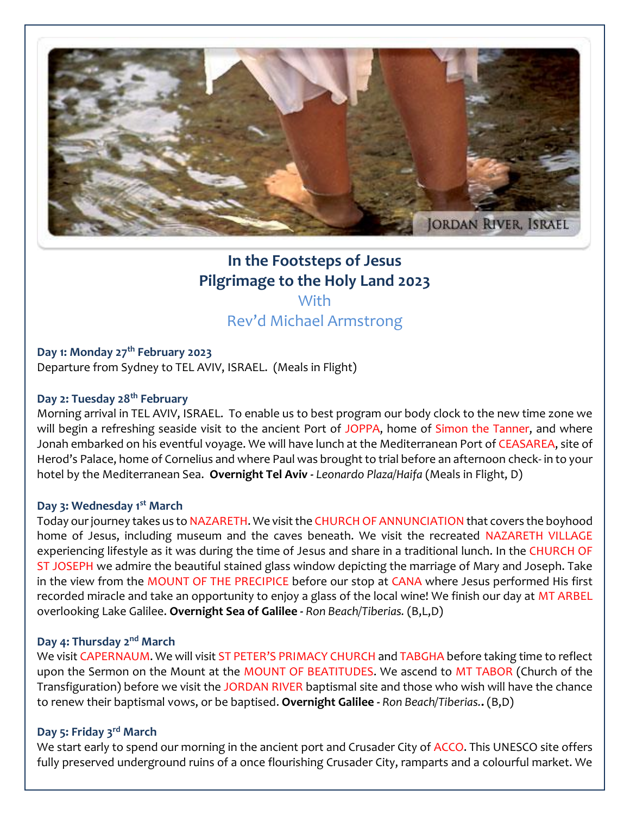

# **In the Footsteps of Jesus Pilgrimage to the Holy Land 2023 With**

# Rev'd Michael Armstrong

**Day 1: Monday 27th February 2023** Departure from Sydney to TEL AVIV, ISRAEL. (Meals in Flight)

# **Day 2: Tuesday 28th February**

Morning arrival in TEL AVIV, ISRAEL. To enable us to best program our body clock to the new time zone we will begin a refreshing seaside visit to the ancient Port of JOPPA, home of Simon the Tanner, and where Jonah embarked on his eventful voyage. We will have lunch at the Mediterranean Port of CEASAREA, site of Herod's Palace, home of Cornelius and where Paul was brought to trial before an afternoon check- in to your hotel by the Mediterranean Sea. **Overnight Tel Aviv -** *Leonardo Plaza/Haifa* (Meals in Flight, D)

#### **Day 3: Wednesday 1st March**

Today our journey takes us to NAZARETH. We visit the CHURCH OF ANNUNCIATION that covers the boyhood home of Jesus, including museum and the caves beneath. We visit the recreated NAZARETH VILLAGE experiencing lifestyle as it was during the time of Jesus and share in a traditional lunch. In the CHURCH OF ST JOSEPH we admire the beautiful stained glass window depicting the marriage of Mary and Joseph. Take in the view from the MOUNT OF THE PRECIPICE before our stop at CANA where Jesus performed His first recorded miracle and take an opportunity to enjoy a glass of the local wine! We finish our day at MT ARBEL overlooking Lake Galilee. **Overnight Sea of Galilee -** *Ron Beach/Tiberias.* (B,L,D)

#### **Day 4: Thursday 2nd March**

We visit CAPERNAUM. We will visit ST PETER'S PRIMACY CHURCH and TABGHA before taking time to reflect upon the Sermon on the Mount at the MOUNT OF BEATITUDES. We ascend to MT TABOR (Church of the Transfiguration) before we visit the JORDAN RIVER baptismal site and those who wish will have the chance to renew their baptismal vows, or be baptised. **Overnight Galilee -** *Ron Beach/Tiberias.***.** (B,D)

# **Day 5: Friday 3rd March**

We start early to spend our morning in the ancient port and Crusader City of ACCO. This UNESCO site offers fully preserved underground ruins of a once flourishing Crusader City, ramparts and a colourful market. We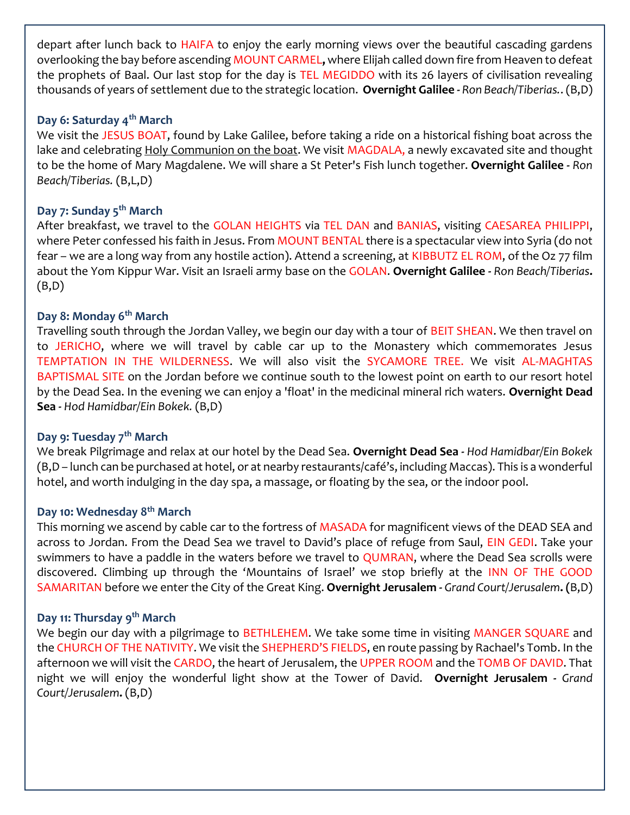depart after lunch back to HAIFA to enjoy the early morning views over the beautiful cascading gardens overlooking the bay before ascending MOUNT CARMEL**,** where Elijah called down fire from Heaven to defeat the prophets of Baal. Our last stop for the day is TEL MEGIDDO with its 26 layers of civilisation revealing thousands of years of settlement due to the strategic location. **Overnight Galilee -** *Ron Beach/Tiberias.*. (B,D)

# **Day 6: Saturday 4th March**

We visit the JESUS BOAT, found by Lake Galilee, before taking a ride on a historical fishing boat across the lake and celebrating Holy Communion on the boat. We visit MAGDALA, a newly excavated site and thought to be the home of Mary Magdalene. We will share a St Peter's Fish lunch together. **Overnight Galilee -** *Ron Beach/Tiberias.* (B,L,D)

# **Day 7: Sunday 5th March**

After breakfast, we travel to the GOLAN HEIGHTS via TEL DAN and BANIAS, visiting CAESAREA PHILIPPI, where Peter confessed his faith in Jesus. From MOUNT BENTAL there is a spectacular view into Syria (do not fear – we are a long way from any hostile action). Attend a screening, at KIBBUTZ EL ROM, of the Oz 77 film about the Yom Kippur War. Visit an Israeli army base on the GOLAN. **Overnight Galilee -** *Ron Beach/Tiberias***.**  (B,D)

### **Day 8: Monday 6th March**

Travelling south through the Jordan Valley, we begin our day with a tour of BEIT SHEAN. We then travel on to JERICHO, where we will travel by cable car up to the Monastery which commemorates Jesus TEMPTATION IN THE WILDERNESS. We will also visit the SYCAMORE TREE. We visit AL-MAGHTAS BAPTISMAL SITE on the Jordan before we continue south to the lowest point on earth to our resort hotel by the Dead Sea. In the evening we can enjoy a 'float' in the medicinal mineral rich waters. **Overnight Dead Sea** *- Hod Hamidbar/Ein Bokek.* (B,D)

#### **Day 9: Tuesday 7th March**

We break Pilgrimage and relax at our hotel by the Dead Sea. **Overnight Dead Sea** *- Hod Hamidbar/Ein Bokek* (B,D – lunch can be purchased at hotel, or at nearby restaurants/café's, including Maccas). This is a wonderful hotel, and worth indulging in the day spa, a massage, or floating by the sea, or the indoor pool.

# **Day 10: Wednesday 8th March**

This morning we ascend by cable car to the fortress of MASADA for magnificent views of the DEAD SEA and across to Jordan. From the Dead Sea we travel to David's place of refuge from Saul, EIN GEDI. Take your swimmers to have a paddle in the waters before we travel to QUMRAN, where the Dead Sea scrolls were discovered. Climbing up through the 'Mountains of Israel' we stop briefly at the INN OF THE GOOD SAMARITAN before we enter the City of the Great King. **Overnight Jerusalem -** *Grand Court/Jerusalem***. (**B,D)

### **Day 11: Thursday 9th March**

We begin our day with a pilgrimage to BETHLEHEM. We take some time in visiting MANGER SQUARE and the CHURCH OF THE NATIVITY. We visit the SHEPHERD'S FIELDS, en route passing by Rachael's Tomb. In the afternoon we will visit the CARDO, the heart of Jerusalem, the UPPER ROOM and the TOMB OF DAVID. That night we will enjoy the wonderful light show at the Tower of David. **Overnight Jerusalem -** *Grand Court/Jerusalem***.** (B,D)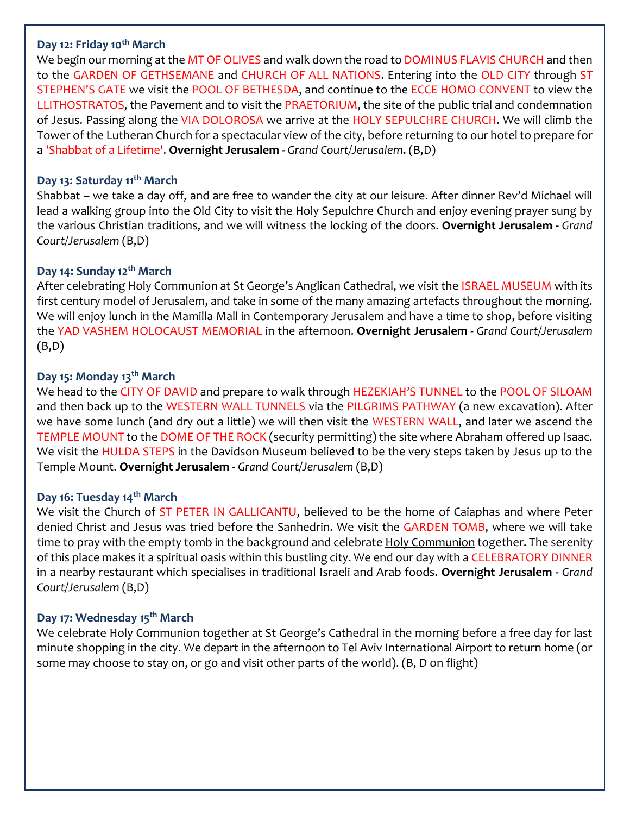#### **Day 12: Friday 10th March**

We begin our morning at the MT OF OLIVES and walk down the road to DOMINUS FLAVIS CHURCH and then to the GARDEN OF GETHSEMANE and CHURCH OF ALL NATIONS. Entering into the OLD CITY through ST STEPHEN'S GATE we visit the POOL OF BETHESDA, and continue to the ECCE HOMO CONVENT to view the LLITHOSTRATOS, the Pavement and to visit the PRAETORIUM, the site of the public trial and condemnation of Jesus. Passing along the VIA DOLOROSA we arrive at the HOLY SEPULCHRE CHURCH. We will climb the Tower of the Lutheran Church for a spectacular view of the city, before returning to our hotel to prepare for a 'Shabbat of a Lifetime'. **Overnight Jerusalem -** *Grand Court/Jerusalem***.** (B,D)

# **Day 13: Saturday 11th March**

Shabbat – we take a day off, and are free to wander the city at our leisure. After dinner Rev'd Michael will lead a walking group into the Old City to visit the Holy Sepulchre Church and enjoy evening prayer sung by the various Christian traditions, and we will witness the locking of the doors. **Overnight Jerusalem -** *Grand Court/Jerusalem* (B,D)

# **Day 14: Sunday 12th March**

After celebrating Holy Communion at St George's Anglican Cathedral, we visit the ISRAEL MUSEUM with its first century model of Jerusalem, and take in some of the many amazing artefacts throughout the morning. We will enjoy lunch in the Mamilla Mall in Contemporary Jerusalem and have a time to shop, before visiting the YAD VASHEM HOLOCAUST MEMORIAL in the afternoon. **Overnight Jerusalem -** *Grand Court/Jerusalem* (B,D)

### **Day 15: Monday 13th March**

We head to the CITY OF DAVID and prepare to walk through HEZEKIAH'S TUNNEL to the POOL OF SILOAM and then back up to the WESTERN WALL TUNNELS via the PILGRIMS PATHWAY (a new excavation). After we have some lunch (and dry out a little) we will then visit the WESTERN WALL, and later we ascend the TEMPLE MOUNT to the DOME OF THE ROCK (security permitting) the site where Abraham offered up Isaac. We visit the HULDA STEPS in the Davidson Museum believed to be the very steps taken by Jesus up to the Temple Mount. **Overnight Jerusalem -** *Grand Court/Jerusalem* (B,D)

#### **Day 16: Tuesday 14th March**

We visit the Church of ST PETER IN GALLICANTU, believed to be the home of Caiaphas and where Peter denied Christ and Jesus was tried before the Sanhedrin. We visit the GARDEN TOMB, where we will take time to pray with the empty tomb in the background and celebrate Holy Communion together. The serenity of this place makes it a spiritual oasis within this bustling city. We end our day with a CELEBRATORY DINNER in a nearby restaurant which specialises in traditional Israeli and Arab foods. **Overnight Jerusalem -** *Grand Court/Jerusalem* (B,D)

#### **Day 17: Wednesday 15th March**

We celebrate Holy Communion together at St George's Cathedral in the morning before a free day for last minute shopping in the city. We depart in the afternoon to Tel Aviv International Airport to return home (or some may choose to stay on, or go and visit other parts of the world). (B, D on flight)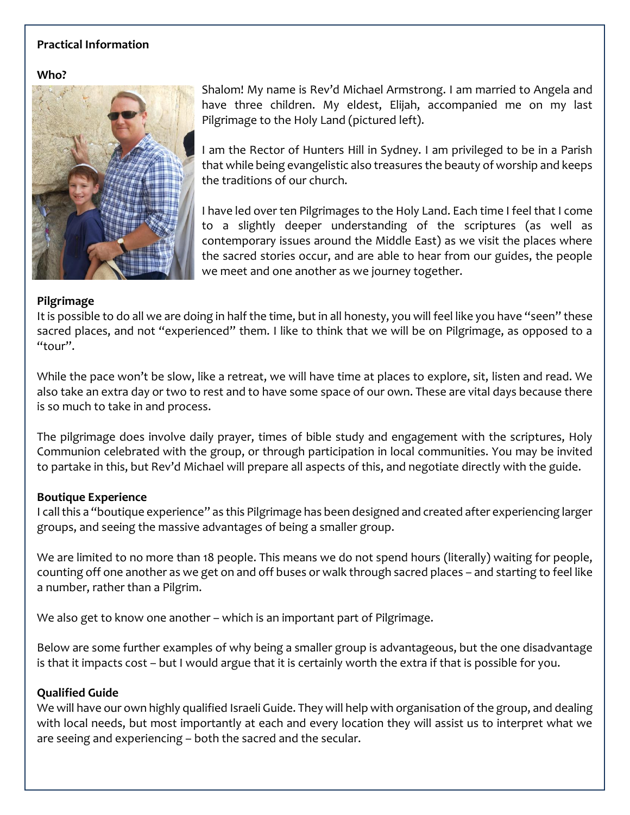# **Practical Information**

**Who?**



Shalom! My name is Rev'd Michael Armstrong. I am married to Angela and have three children. My eldest, Elijah, accompanied me on my last Pilgrimage to the Holy Land (pictured left).

I am the Rector of Hunters Hill in Sydney. I am privileged to be in a Parish that while being evangelistic also treasures the beauty of worship and keeps the traditions of our church.

I have led over ten Pilgrimages to the Holy Land. Each time I feel that I come to a slightly deeper understanding of the scriptures (as well as contemporary issues around the Middle East) as we visit the places where the sacred stories occur, and are able to hear from our guides, the people we meet and one another as we journey together.

#### **Pilgrimage**

It is possible to do all we are doing in half the time, but in all honesty, you will feel like you have "seen" these sacred places, and not "experienced" them. I like to think that we will be on Pilgrimage, as opposed to a "tour".

While the pace won't be slow, like a retreat, we will have time at places to explore, sit, listen and read. We also take an extra day or two to rest and to have some space of our own. These are vital days because there is so much to take in and process.

The pilgrimage does involve daily prayer, times of bible study and engagement with the scriptures, Holy Communion celebrated with the group, or through participation in local communities. You may be invited to partake in this, but Rev'd Michael will prepare all aspects of this, and negotiate directly with the guide.

#### **Boutique Experience**

I call this a "boutique experience" as this Pilgrimage has been designed and created after experiencing larger groups, and seeing the massive advantages of being a smaller group.

We are limited to no more than 18 people. This means we do not spend hours (literally) waiting for people, counting off one another as we get on and off buses or walk through sacred places – and starting to feel like a number, rather than a Pilgrim.

We also get to know one another – which is an important part of Pilgrimage.

Below are some further examples of why being a smaller group is advantageous, but the one disadvantage is that it impacts cost – but I would argue that it is certainly worth the extra if that is possible for you.

#### **Qualified Guide**

We will have our own highly qualified Israeli Guide. They will help with organisation of the group, and dealing with local needs, but most importantly at each and every location they will assist us to interpret what we are seeing and experiencing – both the sacred and the secular.